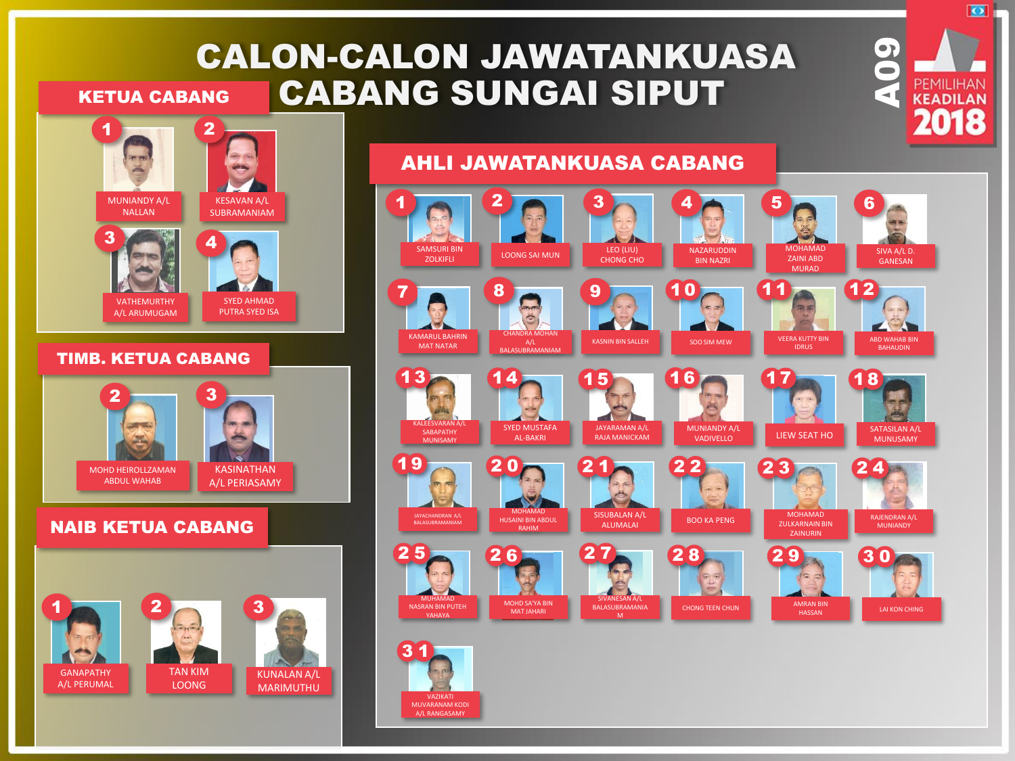## CALON-CALON JAWATANKUASA CABANG SUNGAI SIPUT KETUA CABANG

MUVARANAM KODI A/L RANGASAMY



3





VATHEMURTHY A/L ARUMUGAM

#### SYED AHMAD PUTRA SYED ISA

#### TIMB. KETUA CABANG



#### NAIB KETUA CABANG



### AHLI JAWATANKUASA CABANG



**OP PEMILIHAN** 

 $\overline{\bullet}$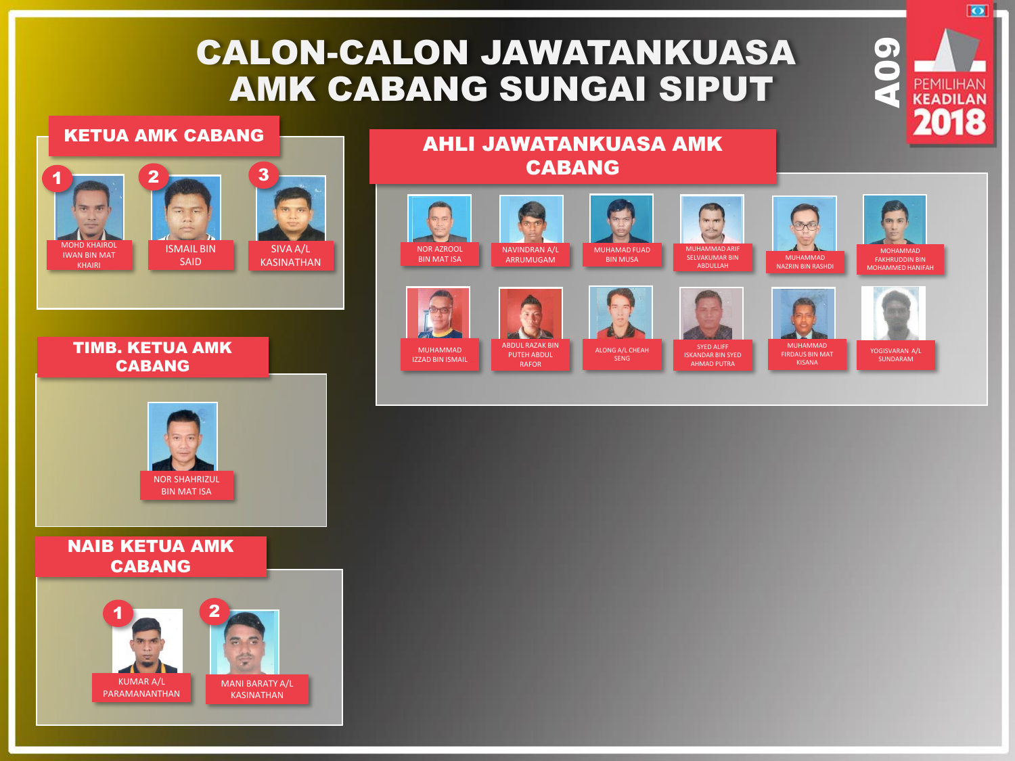# CALON-CALON JAWATANKUASA AMK CABANG SUNGAI SIPUT

#### KETUA AMK CABANG



#### TIMB. KETUA AMK CABANG



#### NAIB KETUA AMK CABANG



## AHLI JAWATANKUASA AMK CABANG













**OP PEMILIHAN** 

 $\overline{\bullet}$ 

MUHAMMAD IZZAD BIN ISMAIL

ABDUL RAZAK BIN PUTEH ABDUL RAFOR

SYED ALIFF AHMAD PUTRA

YOGISVARAN A/L SUNDARAM

ALONG A/L CHEAH SENG

ISKANDAR BIN SYED